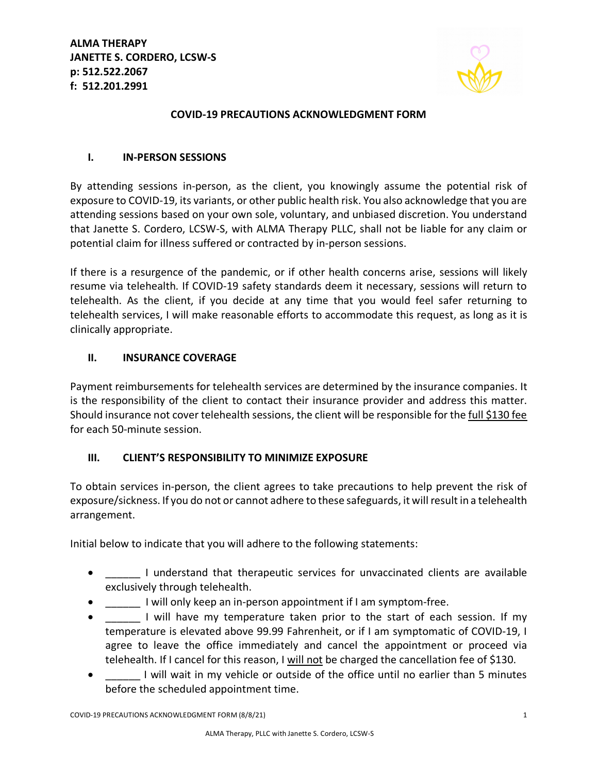**ALMA THERAPY JANETTE S. CORDERO, LCSW-S p: 512.522.2067 f: 512.201.2991**



# **COVID-19 PRECAUTIONS ACKNOWLEDGMENT FORM**

#### **I. IN-PERSON SESSIONS**

By attending sessions in-person, as the client, you knowingly assume the potential risk of exposure to COVID-19, its variants, or other public health risk. You also acknowledge that you are attending sessions based on your own sole, voluntary, and unbiased discretion. You understand that Janette S. Cordero, LCSW-S, with ALMA Therapy PLLC, shall not be liable for any claim or potential claim for illness suffered or contracted by in-person sessions.

If there is a resurgence of the pandemic, or if other health concerns arise, sessions will likely resume via telehealth. If COVID-19 safety standards deem it necessary, sessions will return to telehealth. As the client, if you decide at any time that you would feel safer returning to telehealth services, I will make reasonable efforts to accommodate this request, as long as it is clinically appropriate.

## **II. INSURANCE COVERAGE**

Payment reimbursements for telehealth services are determined by the insurance companies. It is the responsibility of the client to contact their insurance provider and address this matter. Should insurance not cover telehealth sessions, the client will be responsible for the full \$130 fee for each 50-minute session.

# **III. CLIENT'S RESPONSIBILITY TO MINIMIZE EXPOSURE**

To obtain services in-person, the client agrees to take precautions to help prevent the risk of exposure/sickness. If you do not or cannot adhere to these safeguards, it will result in a telehealth arrangement.

Initial below to indicate that you will adhere to the following statements:

- **Fig.** 1 understand that therapeutic services for unvaccinated clients are available exclusively through telehealth.
- **I** will only keep an in-person appointment if I am symptom-free.
- I will have my temperature taken prior to the start of each session. If my temperature is elevated above 99.99 Fahrenheit, or if I am symptomatic of COVID-19, I agree to leave the office immediately and cancel the appointment or proceed via telehealth. If I cancel for this reason, I will not be charged the cancellation fee of \$130.
- I will wait in my vehicle or outside of the office until no earlier than 5 minutes before the scheduled appointment time.